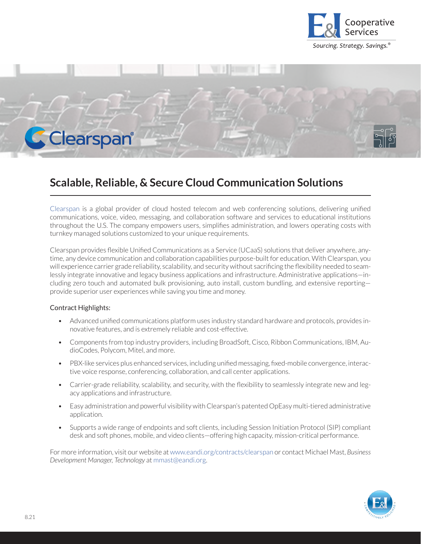



## **Scalable, Reliable, & Secure Cloud Communication Solutions**

Clearspan is a global provider of cloud hosted telecom and web conferencing solutions, delivering unified communications, voice, video, messaging, and collaboration software and services to educational institutions throughout the U.S. The company empowers users, simplifies administration, and lowers operating costs with turnkey managed solutions customized to your unique requirements.

Clearspan provides flexible Unified Communications as a Service (UCaaS) solutions that deliver anywhere, anytime, any device communication and collaboration capabilities purpose-built for education. With Clearspan, you will experience carrier grade reliability, scalability, and security without sacrificing the flexibility needed to seamlessly integrate innovative and legacy business applications and infrastructure. Administrative applications—including zero touch and automated bulk provisioning, auto install, custom bundling, and extensive reportingprovide superior user experiences while saving you time and money.

## Contract Highlights:

- Advanced unified communications platform uses industry standard hardware and protocols, provides innovative features, and is extremely reliable and cost-effective.
- Components from top industry providers, including BroadSoft, Cisco, Ribbon Communications, IBM, AudioCodes, Polycom, Mitel, and more.
- PBX-like services plus enhanced services, including unified messaging, fixed-mobile convergence, interactive voice response, conferencing, collaboration, and call center applications.
- Carrier-grade reliability, scalability, and security, with the flexibility to seamlessly integrate new and legacy applications and infrastructure.
- Easy administration and powerful visibility with Clearspan's patented OpEasy multi-tiered administrative application.
- Supports a wide range of endpoints and soft clients, including Session Initiation Protocol (SIP) compliant desk and soft phones, mobile, and video clients—offering high capacity, mission-critical performance.

For more information, visit our website at www.eandi.org/contracts/clearspan or contact Michael Mast, *Business Development Manager, Technology* at mmast@eandi.org.